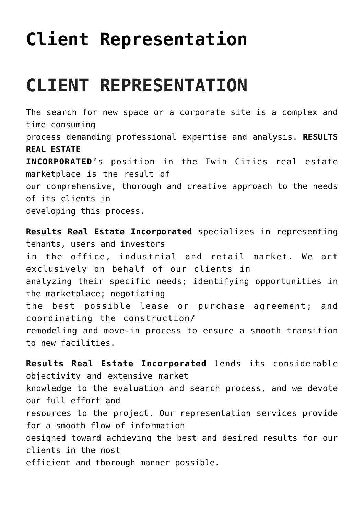## **[Client Representation](https://resultsrealestateinc.com/clients/)**

## **CLIENT REPRESENTATION**

The search for new space or a corporate site is a complex and time consuming process demanding professional expertise and analysis. **RESULTS REAL ESTATE INCORPORATED**'s position in the Twin Cities real estate marketplace is the result of our comprehensive, thorough and creative approach to the needs of its clients in developing this process.

**Results Real Estate Incorporated** specializes in representing tenants, users and investors in the office, industrial and retail market. We act exclusively on behalf of our clients in analyzing their specific needs; identifying opportunities in the marketplace; negotiating the best possible lease or purchase agreement; and coordinating the construction/ remodeling and move-in process to ensure a smooth transition to new facilities.

**Results Real Estate Incorporated** lends its considerable objectivity and extensive market knowledge to the evaluation and search process, and we devote our full effort and resources to the project. Our representation services provide for a smooth flow of information designed toward achieving the best and desired results for our clients in the most efficient and thorough manner possible.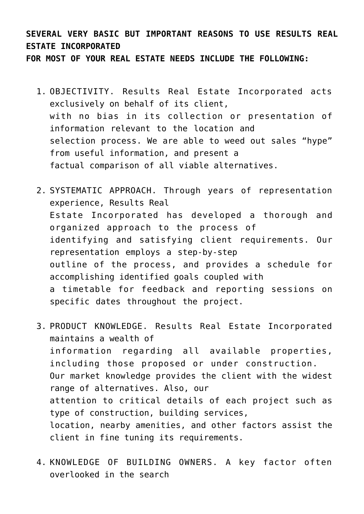## **SEVERAL VERY BASIC BUT IMPORTANT REASONS TO USE RESULTS REAL ESTATE INCORPORATED**

**FOR MOST OF YOUR REAL ESTATE NEEDS INCLUDE THE FOLLOWING:**

- 1. OBJECTIVITY. Results Real Estate Incorporated acts exclusively on behalf of its client, with no bias in its collection or presentation of information relevant to the location and selection process. We are able to weed out sales "hype" from useful information, and present a factual comparison of all viable alternatives.
- 2. SYSTEMATIC APPROACH. Through years of representation experience, Results Real Estate Incorporated has developed a thorough and organized approach to the process of identifying and satisfying client requirements. Our representation employs a step-by-step outline of the process, and provides a schedule for accomplishing identified goals coupled with a timetable for feedback and reporting sessions on specific dates throughout the project.
- 3. PRODUCT KNOWLEDGE. Results Real Estate Incorporated maintains a wealth of information regarding all available properties, including those proposed or under construction. Our market knowledge provides the client with the widest range of alternatives. Also, our attention to critical details of each project such as type of construction, building services, location, nearby amenities, and other factors assist the client in fine tuning its requirements.
- 4. KNOWLEDGE OF BUILDING OWNERS. A key factor often overlooked in the search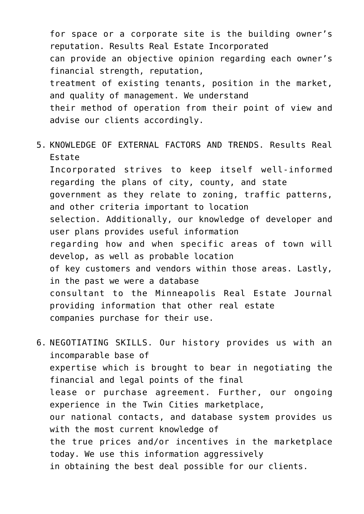for space or a corporate site is the building owner's reputation. Results Real Estate Incorporated can provide an objective opinion regarding each owner's financial strength, reputation, treatment of existing tenants, position in the market, and quality of management. We understand their method of operation from their point of view and advise our clients accordingly.

- 5. KNOWLEDGE OF EXTERNAL FACTORS AND TRENDS. Results Real Estate Incorporated strives to keep itself well-informed regarding the plans of city, county, and state government as they relate to zoning, traffic patterns, and other criteria important to location selection. Additionally, our knowledge of developer and user plans provides useful information regarding how and when specific areas of town will develop, as well as probable location of key customers and vendors within those areas. Lastly, in the past we were a database consultant to the Minneapolis Real Estate Journal providing information that other real estate companies purchase for their use.
- 6. NEGOTIATING SKILLS. Our history provides us with an incomparable base of expertise which is brought to bear in negotiating the financial and legal points of the final lease or purchase agreement. Further, our ongoing experience in the Twin Cities marketplace, our national contacts, and database system provides us with the most current knowledge of the true prices and/or incentives in the marketplace today. We use this information aggressively in obtaining the best deal possible for our clients.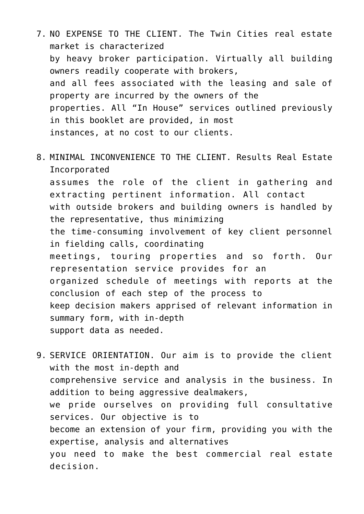- 7. NO EXPENSE TO THE CLIENT. The Twin Cities real estate market is characterized by heavy broker participation. Virtually all building owners readily cooperate with brokers, and all fees associated with the leasing and sale of property are incurred by the owners of the properties. All "In House" services outlined previously in this booklet are provided, in most instances, at no cost to our clients.
- 8. MINIMAL INCONVENIENCE TO THE CLIENT. Results Real Estate Incorporated assumes the role of the client in gathering and extracting pertinent information. All contact with outside brokers and building owners is handled by the representative, thus minimizing the time-consuming involvement of key client personnel in fielding calls, coordinating meetings, touring properties and so forth. Our representation service provides for an organized schedule of meetings with reports at the conclusion of each step of the process to keep decision makers apprised of relevant information in summary form, with in-depth support data as needed.
- 9. SERVICE ORIENTATION. Our aim is to provide the client with the most in-depth and comprehensive service and analysis in the business. In addition to being aggressive dealmakers, we pride ourselves on providing full consultative services. Our objective is to become an extension of your firm, providing you with the expertise, analysis and alternatives you need to make the best commercial real estate decision.